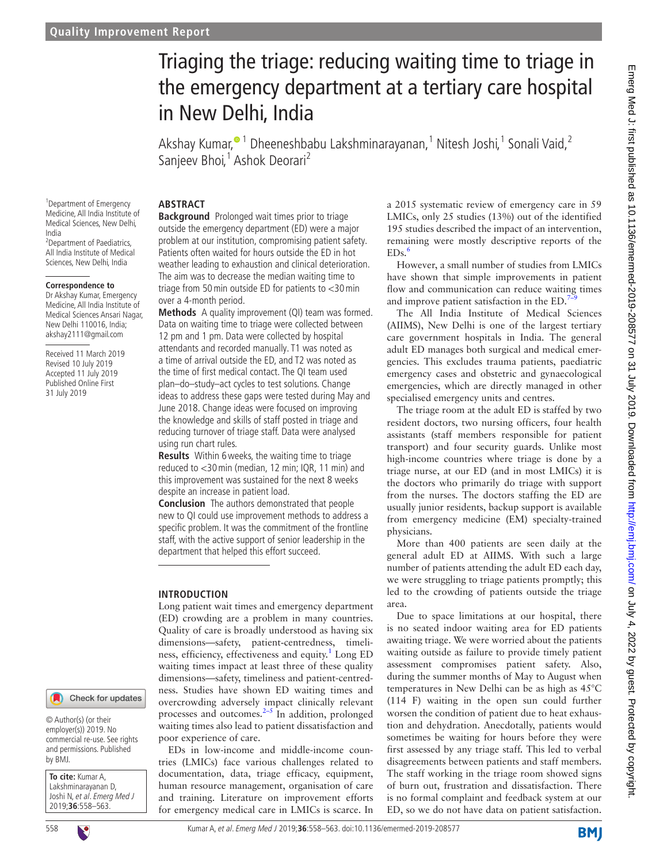# Triaging the triage: reducing waiting time to triage in the emergency department at a tertiary care hospital in New Delhi, India

Akshay Kumar[,](http://orcid.org/0000-0002-7976-9765)<sup>o 1</sup> Dheeneshbabu Lakshminarayanan,<sup>1</sup> Nitesh Joshi,<sup>1</sup> Sonali Vaid,<sup>2</sup> Sanjeev Bhoi,<sup>1</sup> Ashok Deorari<sup>2</sup>

<sup>1</sup> Department of Emergency Medicine, All India Institute of Medical Sciences, New Delhi, India <sup>2</sup> Department of Paediatrics, All India Institute of Medical Sciences, New Delhi, India

#### **Correspondence to**

Dr Akshay Kumar, Emergency Medicine, All India Institute of Medical Sciences Ansari Nagar, New Delhi 110016, India; akshay2111@gmail.com

Received 11 March 2019 Revised 10 July 2019 Accepted 11 July 2019 Published Online First 31 July 2019

#### **Abstract**

**Background** Prolonged wait times prior to triage outside the emergency department (ED) were a major problem at our institution, compromising patient safety. Patients often waited for hours outside the ED in hot weather leading to exhaustion and clinical deterioration. The aim was to decrease the median waiting time to triage from 50min outside ED for patients to <30min over a 4-month period.

**Methods** A quality improvement (QI) team was formed. Data on waiting time to triage were collected between 12 pm and 1 pm. Data were collected by hospital attendants and recorded manually. T1 was noted as a time of arrival outside the ED, and T2 was noted as the time of first medical contact. The QI team used plan–do–study–act cycles to test solutions. Change ideas to address these gaps were tested during May and June 2018. Change ideas were focused on improving the knowledge and skills of staff posted in triage and reducing turnover of triage staff. Data were analysed using run chart rules.

**Results** Within 6weeks, the waiting time to triage reduced to <30min (median, 12 min; IQR, 11 min) and this improvement was sustained for the next 8 weeks despite an increase in patient load.

**Conclusion** The authors demonstrated that people new to QI could use improvement methods to address a specific problem. It was the commitment of the frontline staff, with the active support of senior leadership in the department that helped this effort succeed.

#### **Introduction**

Long patient wait times and emergency department (ED) crowding are a problem in many countries. Quality of care is broadly understood as having six dimensions—safety, patient‐centredness, timeli-ness, efficiency, effectiveness and equity.<sup>[1](#page-5-0)</sup> Long ED waiting times impact at least three of these quality dimensions—safety, timeliness and patient-centredness. Studies have shown ED waiting times and overcrowding adversely impact clinically relevant processes and outcomes. $2-5$  In addition, prolonged waiting times also lead to patient dissatisfaction and poor experience of care.

EDs in low-income and middle-income countries (LMICs) face various challenges related to documentation, data, triage efficacy, equipment, human resource management, organisation of care and training. Literature on improvement efforts for emergency medical care in LMICs is scarce. In a 2015 systematic review of emergency care in 59 LMICs, only 25 studies (13%) out of the identified 195 studies described the impact of an intervention, remaining were mostly descriptive reports of the  $EDs.<sup>6</sup>$  $EDs.<sup>6</sup>$  $EDs.<sup>6</sup>$ 

However, a small number of studies from LMICs have shown that simple improvements in patient flow and communication can reduce waiting times and improve patient satisfaction in the  $ED.^7$ 

The All India Institute of Medical Sciences (AIIMS), New Delhi is one of the largest tertiary care government hospitals in India. The general adult ED manages both surgical and medical emergencies. This excludes trauma patients, paediatric emergency cases and obstetric and gynaecological emergencies, which are directly managed in other specialised emergency units and centres.

The triage room at the adult ED is staffed by two resident doctors, two nursing officers, four health assistants (staff members responsible for patient transport) and four security guards. Unlike most high-income countries where triage is done by a triage nurse, at our ED (and in most LMICs) it is the doctors who primarily do triage with support from the nurses. The doctors staffing the ED are usually junior residents, backup support is available from emergency medicine (EM) specialty-trained physicians.

More than 400 patients are seen daily at the general adult ED at AIIMS. With such a large number of patients attending the adult ED each day, we were struggling to triage patients promptly; this led to the crowding of patients outside the triage area.

Due to space limitations at our hospital, there is no seated indoor waiting area for ED patients awaiting triage. We were worried about the patients waiting outside as failure to provide timely patient assessment compromises patient safety. Also, during the summer months of May to August when temperatures in New Delhi can be as high as 45°C (114 F) waiting in the open sun could further worsen the condition of patient due to heat exhaustion and dehydration. Anecdotally, patients would sometimes be waiting for hours before they were first assessed by any triage staff. This led to verbal disagreements between patients and staff members. The staff working in the triage room showed signs of burn out, frustration and dissatisfaction. There is no formal complaint and feedback system at our ED, so we do not have data on patient satisfaction.

© Author(s) (or their employer(s)) 2019. No commercial re-use. See rights and permissions. Published by BMJ.

**To cite:** Kumar A, Lakshminarayanan D, Joshi N, et al. Emerg Med J 2019;**36**:558–563.

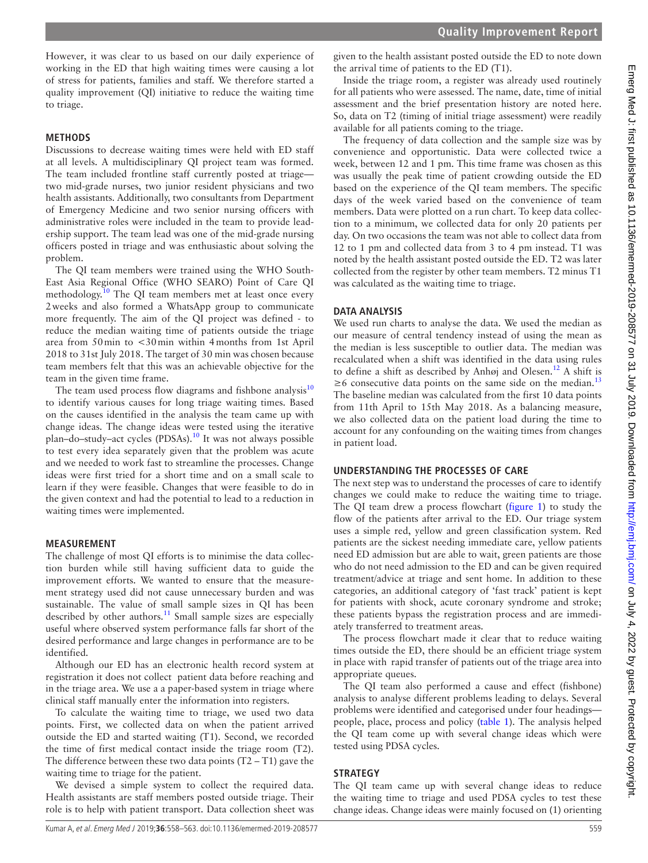However, it was clear to us based on our daily experience of working in the ED that high waiting times were causing a lot of stress for patients, families and staff. We therefore started a quality improvement (QI) initiative to reduce the waiting time to triage.

### **Methods**

Discussions to decrease waiting times were held with ED staff at all levels. A multidisciplinary QI project team was formed. The team included frontline staff currently posted at triage two mid-grade nurses, two junior resident physicians and two health assistants. Additionally, two consultants from Department of Emergency Medicine and two senior nursing officers with administrative roles were included in the team to provide leadership support. The team lead was one of the mid-grade nursing officers posted in triage and was enthusiastic about solving the problem.

The QI team members were trained using the WHO South-East Asia Regional Office (WHO SEARO) Point of Care QI methodology.<sup>10</sup> The QI team members met at least once every 2weeks and also formed a WhatsApp group to communicate more frequently. The aim of the QI project was defined - to reduce the median waiting time of patients outside the triage area from 50min to <30min within 4months from 1st April 2018 to 31st July 2018. The target of 30 min was chosen because team members felt that this was an achievable objective for the team in the given time frame.

The team used process flow diagrams and fishbone analysis $10$ to identify various causes for long triage waiting times. Based on the causes identified in the analysis the team came up with change ideas. The change ideas were tested using the iterative plan–do–study–act cycles (PDSAs).[10](#page-5-4) It was not always possible to test every idea separately given that the problem was acute and we needed to work fast to streamline the processes. Change ideas were first tried for a short time and on a small scale to learn if they were feasible. Changes that were feasible to do in the given context and had the potential to lead to a reduction in waiting times were implemented.

# **Measurement**

The challenge of most QI efforts is to minimise the data collection burden while still having sufficient data to guide the improvement efforts. We wanted to ensure that the measurement strategy used did not cause unnecessary burden and was sustainable. The value of small sample sizes in QI has been described by other authors. $11$  Small sample sizes are especially useful where observed system performance falls far short of the desired performance and large changes in performance are to be identified.

Although our ED has an electronic health record system at registration it does not collect patient data before reaching and in the triage area. We use a a paper-based system in triage where clinical staff manually enter the information into registers.

To calculate the waiting time to triage, we used two data points. First, we collected data on when the patient arrived outside the ED and started waiting (T1). Second, we recorded the time of first medical contact inside the triage room (T2). The difference between these two data points  $(T2 - T1)$  gave the waiting time to triage for the patient.

We devised a simple system to collect the required data. Health assistants are staff members posted outside triage. Their role is to help with patient transport. Data collection sheet was

given to the health assistant posted outside the ED to note down the arrival time of patients to the ED (T1).

Inside the triage room, a register was already used routinely for all patients who were assessed. The name, date, time of initial assessment and the brief presentation history are noted here. So, data on T2 (timing of initial triage assessment) were readily available for all patients coming to the triage.

The frequency of data collection and the sample size was by convenience and opportunistic. Data were collected twice a week, between 12 and 1 pm. This time frame was chosen as this was usually the peak time of patient crowding outside the ED based on the experience of the QI team members. The specific days of the week varied based on the convenience of team members. Data were plotted on a run chart. To keep data collection to a minimum, we collected data for only 20 patients per day. On two occasions the team was not able to collect data from 12 to 1 pm and collected data from 3 to 4 pm instead. T1 was noted by the health assistant posted outside the ED. T2 was later collected from the register by other team members. T2 minus T1 was calculated as the waiting time to triage.

# **Data analysis**

We used run charts to analyse the data. We used the median as our measure of central tendency instead of using the mean as the median is less susceptible to outlier data. The median was recalculated when a shift was identified in the data using rules to define a shift as described by Anhøj and Olesen.<sup>12</sup> A shift is  $\geq$ 6 consecutive data points on the same side on the median.<sup>[13](#page-5-7)</sup> The baseline median was calculated from the first 10 data points from 11th April to 15th May 2018. As a balancing measure, we also collected data on the patient load during the time to account for any confounding on the waiting times from changes in patient load.

# **Understanding the processes of care**

The next step was to understand the processes of care to identify changes we could make to reduce the waiting time to triage. The QI team drew a process flowchart ([figure](#page-2-0) 1) to study the flow of the patients after arrival to the ED. Our triage system uses a simple red, yellow and green classification system. Red patients are the sickest needing immediate care, yellow patients need ED admission but are able to wait, green patients are those who do not need admission to the ED and can be given required treatment/advice at triage and sent home. In addition to these categories, an additional category of 'fast track' patient is kept for patients with shock, acute coronary syndrome and stroke; these patients bypass the registration process and are immediately transferred to treatment areas.

The process flowchart made it clear that to reduce waiting times outside the ED, there should be an efficient triage system in place with rapid transfer of patients out of the triage area into appropriate queues.

The QI team also performed a cause and effect (fishbone) analysis to analyse different problems leading to delays. Several problems were identified and categorised under four headings people, place, process and policy ([table](#page-2-1) 1). The analysis helped the QI team come up with several change ideas which were tested using PDSA cycles.

# **Strategy**

The QI team came up with several change ideas to reduce the waiting time to triage and used PDSA cycles to test these change ideas. Change ideas were mainly focused on (1) orienting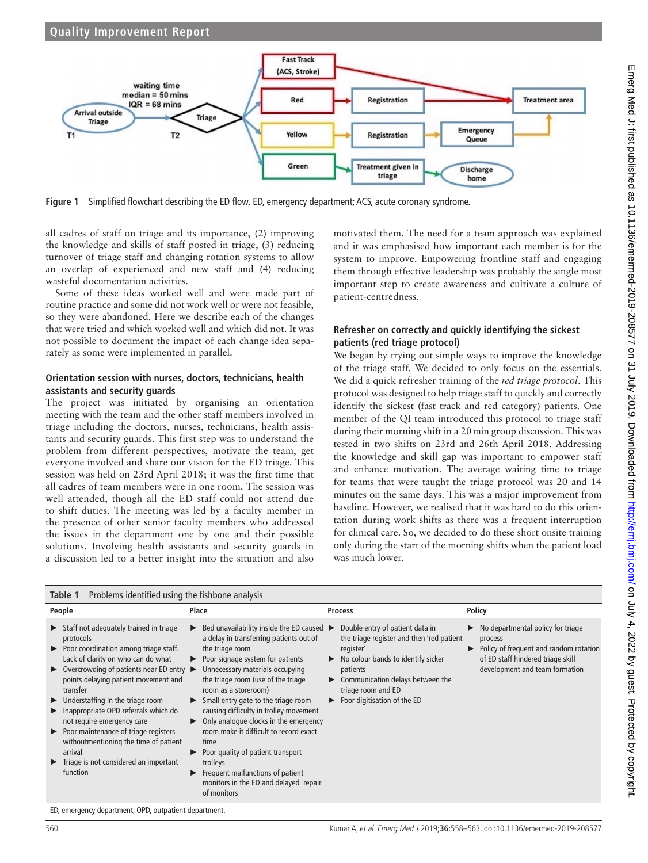



<span id="page-2-0"></span>**Figure 1** Simplified flowchart describing the ED flow. ED, emergency department; ACS, acute coronary syndrome.

all cadres of staff on triage and its importance, (2) improving the knowledge and skills of staff posted in triage, (3) reducing turnover of triage staff and changing rotation systems to allow an overlap of experienced and new staff and (4) reducing wasteful documentation activities.

Some of these ideas worked well and were made part of routine practice and some did not work well or were not feasible, so they were abandoned. Here we describe each of the changes that were tried and which worked well and which did not. It was not possible to document the impact of each change idea separately as some were implemented in parallel.

#### **Orientation session with nurses, doctors, technicians, health assistants and security guards**

The project was initiated by organising an orientation meeting with the team and the other staff members involved in triage including the doctors, nurses, technicians, health assistants and security guards. This first step was to understand the problem from different perspectives, motivate the team, get everyone involved and share our vision for the ED triage. This session was held on 23rd April 2018; it was the first time that all cadres of team members were in one room. The session was well attended, though all the ED staff could not attend due to shift duties. The meeting was led by a faculty member in the presence of other senior faculty members who addressed the issues in the department one by one and their possible solutions. Involving health assistants and security guards in a discussion led to a better insight into the situation and also

motivated them. The need for a team approach was explained and it was emphasised how important each member is for the system to improve. Empowering frontline staff and engaging them through effective leadership was probably the single most important step to create awareness and cultivate a culture of patient-centredness.

### **Refresher on correctly and quickly identifying the sickest patients (red triage protocol)**

We began by trying out simple ways to improve the knowledge of the triage staff. We decided to only focus on the essentials. We did a quick refresher training of the *red triage protocol*. This protocol was designed to help triage staff to quickly and correctly identify the sickest (fast track and red category) patients. One member of the QI team introduced this protocol to triage staff during their morning shift in a 20min group discussion. This was tested in two shifts on 23rd and 26th April 2018. Addressing the knowledge and skill gap was important to empower staff and enhance motivation. The average waiting time to triage for teams that were taught the triage protocol was 20 and 14 minutes on the same days. This was a major improvement from baseline. However, we realised that it was hard to do this orientation during work shifts as there was a frequent interruption for clinical care. So, we decided to do these short onsite training only during the start of the morning shifts when the patient load was much lower.

<span id="page-2-1"></span>

| Problems identified using the fishbone analysis<br>Table 1                                                                                                                                                                                                                                                                                                                                                                                                                                                                                                                                                    |                                                                                                                                                                                                                                                                                                                                                                                                                                                                                                                                                                                                                                  |                                                                                                                                                                                                                                                |                                                                                                                                                               |
|---------------------------------------------------------------------------------------------------------------------------------------------------------------------------------------------------------------------------------------------------------------------------------------------------------------------------------------------------------------------------------------------------------------------------------------------------------------------------------------------------------------------------------------------------------------------------------------------------------------|----------------------------------------------------------------------------------------------------------------------------------------------------------------------------------------------------------------------------------------------------------------------------------------------------------------------------------------------------------------------------------------------------------------------------------------------------------------------------------------------------------------------------------------------------------------------------------------------------------------------------------|------------------------------------------------------------------------------------------------------------------------------------------------------------------------------------------------------------------------------------------------|---------------------------------------------------------------------------------------------------------------------------------------------------------------|
| People                                                                                                                                                                                                                                                                                                                                                                                                                                                                                                                                                                                                        | Place                                                                                                                                                                                                                                                                                                                                                                                                                                                                                                                                                                                                                            | <b>Process</b>                                                                                                                                                                                                                                 | Policy                                                                                                                                                        |
| $\triangleright$ Staff not adequately trained in triage<br>protocols<br>▶ Poor coordination among triage staff.<br>Lack of clarity on who can do what<br>$\triangleright$ Overcrowding of patients near ED entry $\triangleright$<br>points delaying patient movement and<br>transfer<br>$\blacktriangleright$ Understaffing in the triage room<br>Inappropriate OPD referrals which do<br>not require emergency care<br>$\triangleright$ Poor maintenance of triage registers<br>withoutmentioning the time of patient<br>arrival<br>$\blacktriangleright$ Triage is not considered an important<br>function | Bed unavailability inside the ED caused $\blacktriangleright$<br>a delay in transferring patients out of<br>the triage room<br>$\triangleright$ Poor signage system for patients<br>Unnecessary materials occupying<br>the triage room (use of the triage<br>room as a storeroom)<br>$\triangleright$ Small entry gate to the triage room<br>causing difficulty in trolley movement<br>Only analogue clocks in the emergency<br>room make it difficult to record exact<br>time<br>Poor quality of patient transport<br>trolleys<br>Frequent malfunctions of patient<br>▶<br>monitors in the ED and delayed repair<br>of monitors | Double entry of patient data in<br>the triage register and then 'red patient<br>register'<br>No colour bands to identify sicker<br>▶<br>patients<br>Communication delays between the<br>▶<br>triage room and ED<br>Poor digitisation of the ED | No departmental policy for triage<br>process<br>Policy of frequent and random rotation<br>of ED staff hindered triage skill<br>development and team formation |

ED, emergency department; OPD, outpatient department.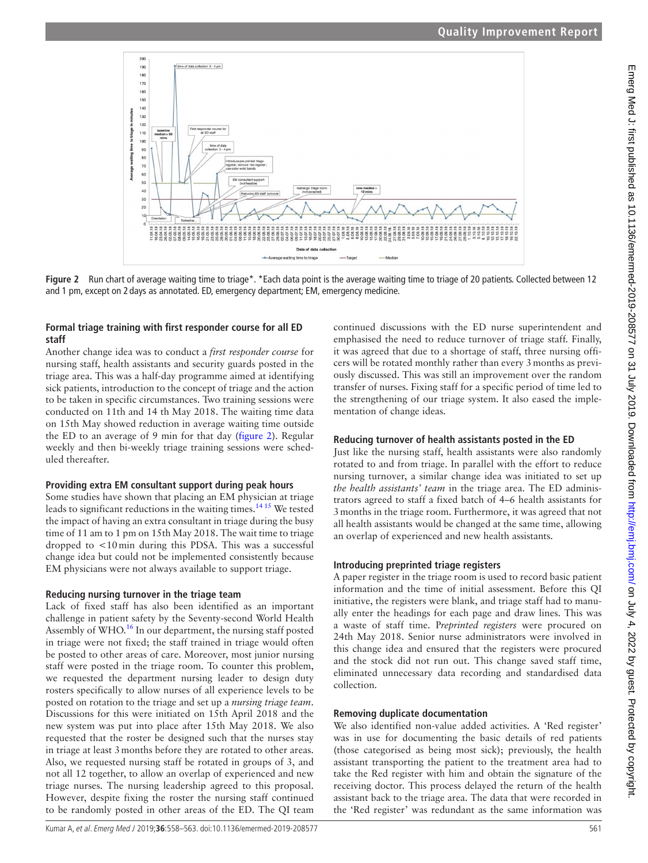### **Quality Improvement Report**



Figure 2 Run chart of average waiting time to triage\*. \*Each data point is the average waiting time to triage of 20 patients. Collected between 12 and 1 pm, except on 2 days as annotated. ED, emergency department; EM, emergency medicine.

### **Formal triage training with first responder course for all ED staff**

Another change idea was to conduct a *first responder course* for nursing staff, health assistants and security guards posted in the triage area. This was a half-day programme aimed at identifying sick patients, introduction to the concept of triage and the action to be taken in specific circumstances. Two training sessions were conducted on 11th and 14 th May 2018. The waiting time data on 15th May showed reduction in average waiting time outside the ED to an average of 9 min for that day [\(figure](#page-3-0) 2). Regular weekly and then bi-weekly triage training sessions were scheduled thereafter.

### **Providing extra EM consultant support during peak hours**

Some studies have shown that placing an EM physician at triage leads to significant reductions in the waiting times.[14 15](#page-5-8) We tested the impact of having an extra consultant in triage during the busy time of 11 am to 1 pm on 15th May 2018. The wait time to triage dropped to <10min during this PDSA. This was a successful change idea but could not be implemented consistently because EM physicians were not always available to support triage.

### **Reducing nursing turnover in the triage team**

Lack of fixed staff has also been identified as an important challenge in patient safety by the Seventy-second World Health Assembly of WHO.<sup>16</sup> In our department, the nursing staff posted in triage were not fixed; the staff trained in triage would often be posted to other areas of care. Moreover, most junior nursing staff were posted in the triage room. To counter this problem, we requested the department nursing leader to design duty rosters specifically to allow nurses of all experience levels to be posted on rotation to the triage and set up a *nursing triage team*. Discussions for this were initiated on 15th April 2018 and the new system was put into place after 15th May 2018. We also requested that the roster be designed such that the nurses stay in triage at least 3months before they are rotated to other areas. Also, we requested nursing staff be rotated in groups of 3, and not all 12 together, to allow an overlap of experienced and new triage nurses. The nursing leadership agreed to this proposal. to be randomly posted in other areas of the ED. The QI team

<span id="page-3-0"></span>continued discussions with the ED nurse superintendent and emphasised the need to reduce turnover of triage staff. Finally, it was agreed that due to a shortage of staff, three nursing officers will be rotated monthly rather than every 3months as previously discussed. This was still an improvement over the random transfer of nurses. Fixing staff for a specific period of time led to the strengthening of our triage system. It also eased the implementation of change ideas.

### **Reducing turnover of health assistants posted in the ED**

Just like the nursing staff, health assistants were also randomly rotated to and from triage. In parallel with the effort to reduce nursing turnover, a similar change idea was initiated to set up *the health assistants' team* in the triage area. The ED administrators agreed to staff a fixed batch of 4–6 health assistants for 3months in the triage room. Furthermore, it was agreed that not all health assistants would be changed at the same time, allowing an overlap of experienced and new health assistants.

### **Introducing preprinted triage registers**

A paper register in the triage room is used to record basic patient information and the time of initial assessment. Before this QI initiative, the registers were blank, and triage staff had to manually enter the headings for each page and draw lines. This was a waste of staff time. P*reprinted registers* were procured on 24th May 2018. Senior nurse administrators were involved in this change idea and ensured that the registers were procured and the stock did not run out. This change saved staff time, eliminated unnecessary data recording and standardised data collection.

### **Removing duplicate documentation**

We also identified non-value added activities. A 'Red register' was in use for documenting the basic details of red patients (those categorised as being most sick); previously, the health assistant transporting the patient to the treatment area had to take the Red register with him and obtain the signature of the receiving doctor. This process delayed the return of the health assistant back to the triage area. The data that were recorded in the 'Red register' was redundant as the same information was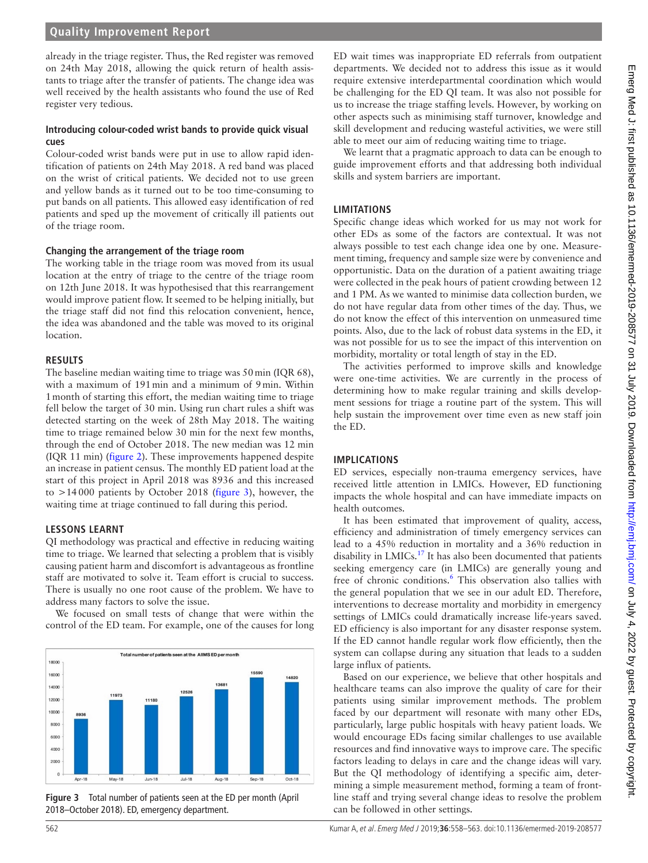### **Quality Improvement Report**

already in the triage register. Thus, the Red register was removed on 24th May 2018, allowing the quick return of health assistants to triage after the transfer of patients. The change idea was well received by the health assistants who found the use of Red register very tedious.

#### **Introducing colour-coded wrist bands to provide quick visual cues**

Colour-coded wrist bands were put in use to allow rapid identification of patients on 24th May 2018. A red band was placed on the wrist of critical patients. We decided not to use green and yellow bands as it turned out to be too time-consuming to put bands on all patients. This allowed easy identification of red patients and sped up the movement of critically ill patients out of the triage room.

#### **Changing the arrangement of the triage room**

The working table in the triage room was moved from its usual location at the entry of triage to the centre of the triage room on 12th June 2018. It was hypothesised that this rearrangement would improve patient flow. It seemed to be helping initially, but the triage staff did not find this relocation convenient, hence, the idea was abandoned and the table was moved to its original location.

#### **Results**

The baseline median waiting time to triage was 50min (IQR 68), with a maximum of 191min and a minimum of 9min. Within 1month of starting this effort, the median waiting time to triage fell below the target of 30 min. Using run chart rules a shift was detected starting on the week of 28th May 2018. The waiting time to triage remained below 30 min for the next few months, through the end of October 2018. The new median was 12 min (IQR 11 min) [\(figure](#page-3-0) 2). These improvements happened despite an increase in patient census. The monthly ED patient load at the start of this project in April 2018 was 8936 and this increased to >14000 patients by October 2018 [\(figure](#page-4-0) 3), however, the waiting time at triage continued to fall during this period.

#### **Lessons learnt**

QI methodology was practical and effective in reducing waiting time to triage. We learned that selecting a problem that is visibly causing patient harm and discomfort is advantageous as frontline staff are motivated to solve it. Team effort is crucial to success. There is usually no one root cause of the problem. We have to address many factors to solve the issue.

We focused on small tests of change that were within the control of the ED team. For example, one of the causes for long



<span id="page-4-0"></span>**Figure 3** Total number of patients seen at the ED per month (April 2018–October 2018). ED, emergency department.

ED wait times was inappropriate ED referrals from outpatient departments. We decided not to address this issue as it would require extensive interdepartmental coordination which would be challenging for the ED QI team. It was also not possible for us to increase the triage staffing levels. However, by working on other aspects such as minimising staff turnover, knowledge and skill development and reducing wasteful activities, we were still able to meet our aim of reducing waiting time to triage.

We learnt that a pragmatic approach to data can be enough to guide improvement efforts and that addressing both individual skills and system barriers are important.

#### **Limitations**

Specific change ideas which worked for us may not work for other EDs as some of the factors are contextual. It was not always possible to test each change idea one by one. Measurement timing, frequency and sample size were by convenience and opportunistic. Data on the duration of a patient awaiting triage were collected in the peak hours of patient crowding between 12 and 1 PM. As we wanted to minimise data collection burden, we do not have regular data from other times of the day. Thus, we do not know the effect of this intervention on unmeasured time points. Also, due to the lack of robust data systems in the ED, it was not possible for us to see the impact of this intervention on morbidity, mortality or total length of stay in the ED.

The activities performed to improve skills and knowledge were one-time activities. We are currently in the process of determining how to make regular training and skills development sessions for triage a routine part of the system. This will help sustain the improvement over time even as new staff join the ED.

#### **Implications**

ED services, especially non-trauma emergency services, have received little attention in LMICs. However, ED functioning impacts the whole hospital and can have immediate impacts on health outcomes.

It has been estimated that improvement of quality, access, efficiency and administration of timely emergency services can lead to a 45% reduction in mortality and a 36% reduction in disability in LMICs.<sup>[17](#page-5-10)</sup> It has also been documented that patients seeking emergency care (in LMICs) are generally young and free of chronic conditions.<sup>[6](#page-5-2)</sup> This observation also tallies with the general population that we see in our adult ED. Therefore, interventions to decrease mortality and morbidity in emergency settings of LMICs could dramatically increase life-years saved. ED efficiency is also important for any disaster response system. If the ED cannot handle regular work flow efficiently, then the system can collapse during any situation that leads to a sudden large influx of patients.

Based on our experience, we believe that other hospitals and healthcare teams can also improve the quality of care for their patients using similar improvement methods. The problem faced by our department will resonate with many other EDs, particularly, large public hospitals with heavy patient loads. We would encourage EDs facing similar challenges to use available resources and find innovative ways to improve care. The specific factors leading to delays in care and the change ideas will vary. But the QI methodology of identifying a specific aim, determining a simple measurement method, forming a team of frontline staff and trying several change ideas to resolve the problem can be followed in other settings.